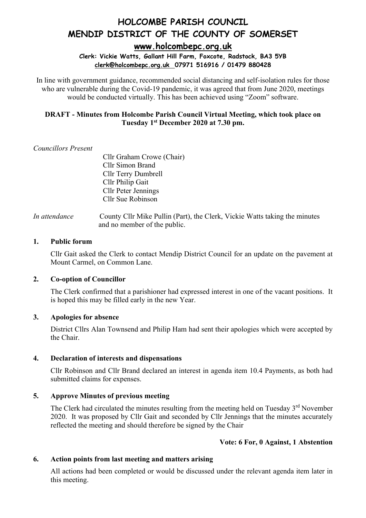**[www.holcombepc.org.uk](http://www.holcombepc.org.uk/)**

**Clerk: Vickie Watts, Gallant Hill Farm, Foxcote, Radstock, BA3 5YB [clerk@holcombepc.org.uk](mailto:victoriawatts@orange.net) 07971 516916 / 01479 880428**

In line with government guidance, recommended social distancing and self-isolation rules for those who are vulnerable during the Covid-19 pandemic, it was agreed that from June 2020, meetings would be conducted virtually. This has been achieved using "Zoom" software.

# **DRAFT - Minutes from Holcombe Parish Council Virtual Meeting, which took place on Tuesday 1st December 2020 at 7.30 pm.**

# *Councillors Present*

Cllr Graham Crowe (Chair) Cllr Simon Brand Cllr Terry Dumbrell Cllr Philip Gait Cllr Peter Jennings Cllr Sue Robinson

*In attendance* County Cllr Mike Pullin (Part), the Clerk, Vickie Watts taking the minutes and no member of the public.

#### **1. Public forum**

Cllr Gait asked the Clerk to contact Mendip District Council for an update on the pavement at Mount Carmel, on Common Lane.

# **2. Co-option of Councillor**

The Clerk confirmed that a parishioner had expressed interest in one of the vacant positions. It is hoped this may be filled early in the new Year.

#### **3. Apologies for absence**

District Cllrs Alan Townsend and Philip Ham had sent their apologies which were accepted by the Chair.

# **4. Declaration of interests and dispensations**

Cllr Robinson and Cllr Brand declared an interest in agenda item 10.4 Payments, as both had submitted claims for expenses.

# **5. Approve Minutes of previous meeting**

The Clerk had circulated the minutes resulting from the meeting held on Tuesday 3<sup>rd</sup> November 2020. It was proposed by Cllr Gait and seconded by Cllr Jennings that the minutes accurately reflected the meeting and should therefore be signed by the Chair

# **Vote: 6 For, 0 Against, 1 Abstention**

# **6. Action points from last meeting and matters arising**

All actions had been completed or would be discussed under the relevant agenda item later in this meeting.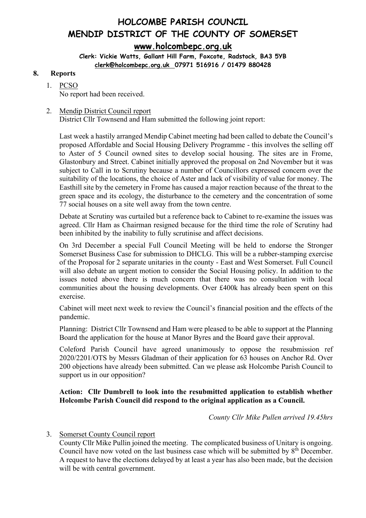# **HOLCOMBE PARISH COUNCIL MENDIP DISTRICT OF THE COUNTY OF SOMERSET [www.holcombepc.org.uk](http://www.holcombepc.org.uk/)**

**Clerk: Vickie Watts, Gallant Hill Farm, Foxcote, Radstock, BA3 5YB [clerk@holcombepc.org.uk](mailto:victoriawatts@orange.net) 07971 516916 / 01479 880428**

#### **8. Reports**

# 1. PCSO

No report had been received.

#### 2. Mendip District Council report District Cllr Townsend and Ham submitted the following joint report:

Last week a hastily arranged Mendip Cabinet meeting had been called to debate the Council's proposed Affordable and Social Housing Delivery Programme - this involves the selling off to Aster of 5 Council owned sites to develop social housing. The sites are in Frome, Glastonbury and Street. Cabinet initially approved the proposal on 2nd November but it was subject to Call in to Scrutiny because a number of Councillors expressed concern over the suitability of the locations, the choice of Aster and lack of visibility of value for money. The Easthill site by the cemetery in Frome has caused a major reaction because of the threat to the green space and its ecology, the disturbance to the cemetery and the concentration of some 77 social houses on a site well away from the town centre.

Debate at Scrutiny was curtailed but a reference back to Cabinet to re-examine the issues was agreed. Cllr Ham as Chairman resigned because for the third time the role of Scrutiny had been inhibited by the inability to fully scrutinise and affect decisions.

On 3rd December a special Full Council Meeting will be held to endorse the Stronger Somerset Business Case for submission to DHCLG. This will be a rubber-stamping exercise of the Proposal for 2 separate unitaries in the county - East and West Somerset. Full Council will also debate an urgent motion to consider the Social Housing policy. In addition to the issues noted above there is much concern that there was no consultation with local communities about the housing developments. Over £400k has already been spent on this exercise.

Cabinet will meet next week to review the Council's financial position and the effects of the pandemic.

Planning: District Cllr Townsend and Ham were pleased to be able to support at the Planning Board the application for the house at Manor Byres and the Board gave their approval.

Coleford Parish Council have agreed unanimously to oppose the resubmission ref 2020/2201/OTS by Messrs Gladman of their application for 63 houses on Anchor Rd. Over 200 objections have already been submitted. Can we please ask Holcombe Parish Council to support us in our opposition?

# **Action: Cllr Dumbrell to look into the resubmitted application to establish whether Holcombe Parish Council did respond to the original application as a Council.**

*County Cllr Mike Pullen arrived 19.45hrs*

# 3. Somerset County Council report

County Cllr Mike Pullin joined the meeting. The complicated business of Unitary is ongoing. Council have now voted on the last business case which will be submitted by  $8<sup>th</sup>$  December. A request to have the elections delayed by at least a year has also been made, but the decision will be with central government.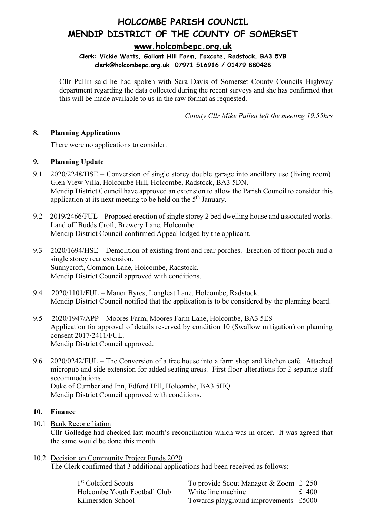# **[www.holcombepc.org.uk](http://www.holcombepc.org.uk/)**

# **Clerk: Vickie Watts, Gallant Hill Farm, Foxcote, Radstock, BA3 5YB [clerk@holcombepc.org.uk](mailto:victoriawatts@orange.net) 07971 516916 / 01479 880428**

Cllr Pullin said he had spoken with Sara Davis of Somerset County Councils Highway department regarding the data collected during the recent surveys and she has confirmed that this will be made available to us in the raw format as requested.

*County Cllr Mike Pullen left the meeting 19.55hrs*

# **8. Planning Applications**

There were no applications to consider.

# **9. Planning Update**

- 9.1 2020/2248/HSE Conversion of single storey double garage into ancillary use (living room). Glen View Villa, Holcombe Hill, Holcombe, Radstock, BA3 5DN. Mendip District Council have approved an extension to allow the Parish Council to consider this application at its next meeting to be held on the 5<sup>th</sup> January.
- 9.2 2019/2466/FUL Proposed erection of single storey 2 bed dwelling house and associated works. Land off Budds Croft, Brewery Lane. Holcombe . Mendip District Council confirmed Appeal lodged by the applicant.
- 9.3 2020/1694/HSE Demolition of existing front and rear porches. Erection of front porch and a single storey rear extension. Sunnycroft, Common Lane, Holcombe, Radstock. Mendip District Council approved with conditions.
- 9.4 2020/1101/FUL Manor Byres, Longleat Lane, Holcombe, Radstock. Mendip District Council notified that the application is to be considered by the planning board.
- 9.5 2020/1947/APP Moores Farm, Moores Farm Lane, Holcombe, BA3 5ES Application for approval of details reserved by condition 10 (Swallow mitigation) on planning consent 2017/2411/FUL. Mendip District Council approved.
- 9.6 2020/0242/FUL The Conversion of a free house into a farm shop and kitchen café. Attached micropub and side extension for added seating areas. First floor alterations for 2 separate staff accommodations. Duke of Cumberland Inn, Edford Hill, Holcombe, BA3 5HQ. Mendip District Council approved with conditions.

# **10. Finance**

10.1 Bank Reconciliation

Cllr Golledge had checked last month's reconciliation which was in order. It was agreed that the same would be done this month.

10.2 Decision on Community Project Funds 2020 The Clerk confirmed that 3 additional applications had been received as follows:

| 1 <sup>st</sup> Coleford Scouts | To provide Scout Manager & Zoom £ 250 |           |
|---------------------------------|---------------------------------------|-----------|
| Holcombe Youth Football Club    | White line machine                    | $\pm$ 400 |
| Kilmersdon School               | Towards playground improvements £5000 |           |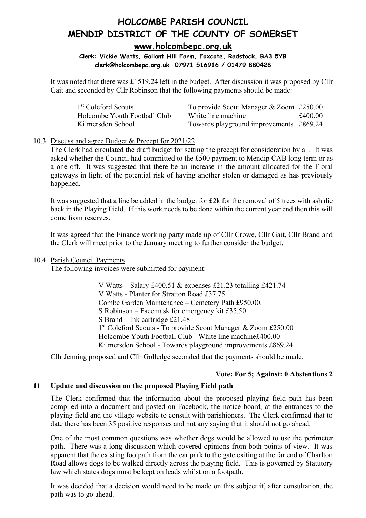# **HOLCOMBE PARISH COUNCIL MENDIP DISTRICT OF THE COUNTY OF SOMERSET [www.holcombepc.org.uk](http://www.holcombepc.org.uk/)**

# **Clerk: Vickie Watts, Gallant Hill Farm, Foxcote, Radstock, BA3 5YB [clerk@holcombepc.org.uk](mailto:victoriawatts@orange.net) 07971 516916 / 01479 880428**

It was noted that there was £1519.24 left in the budget. After discussion it was proposed by Cllr Gait and seconded by Cllr Robinson that the following payments should be made:

| 1 <sup>st</sup> Coleford Scouts | To provide Scout Manager & Zoom £250.00 |         |
|---------------------------------|-----------------------------------------|---------|
| Holcombe Youth Football Club    | White line machine                      | £400.00 |
| Kilmersdon School               | Towards playground improvements £869.24 |         |

# 10.3 Discuss and agree Budget & Precept for 2021/22

The Clerk had circulated the draft budget for setting the precept for consideration by all. It was asked whether the Council had committed to the £500 payment to Mendip CAB long term or as a one off. It was suggested that there be an increase in the amount allocated for the Floral gateways in light of the potential risk of having another stolen or damaged as has previously happened.

It was suggested that a line be added in the budget for £2k for the removal of 5 trees with ash die back in the Playing Field. If this work needs to be done within the current year end then this will come from reserves.

It was agreed that the Finance working party made up of Cllr Crowe, Cllr Gait, Cllr Brand and the Clerk will meet prior to the January meeting to further consider the budget.

# 10.4 Parish Council Payments

The following invoices were submitted for payment:

V Watts – Salary £400.51 & expenses £21.23 totalling £421.74 V Watts - Planter for Stratton Road £37.75 Combe Garden Maintenance – Cemetery Path £950.00. S Robinson – Facemask for emergency kit £35.50 S Brand – Ink cartridge £21.48 1st Coleford Scouts - To provide Scout Manager & Zoom £250.00 Holcombe Youth Football Club - White line machine£400.00 Kilmersdon School - Towards playground improvements £869.24

Cllr Jenning proposed and Cllr Golledge seconded that the payments should be made.

# **Vote: For 5; Against: 0 Abstentions 2**

# **11 Update and discussion on the proposed Playing Field path**

The Clerk confirmed that the information about the proposed playing field path has been compiled into a document and posted on Facebook, the notice board, at the entrances to the playing field and the village website to consult with parishioners. The Clerk confirmed that to date there has been 35 positive responses and not any saying that it should not go ahead.

One of the most common questions was whether dogs would be allowed to use the perimeter path. There was a long discussion which covered opinions from both points of view. It was apparent that the existing footpath from the car park to the gate exiting at the far end of Charlton Road allows dogs to be walked directly across the playing field. This is governed by Statutory law which states dogs must be kept on leads whilst on a footpath.

It was decided that a decision would need to be made on this subject if, after consultation, the path was to go ahead.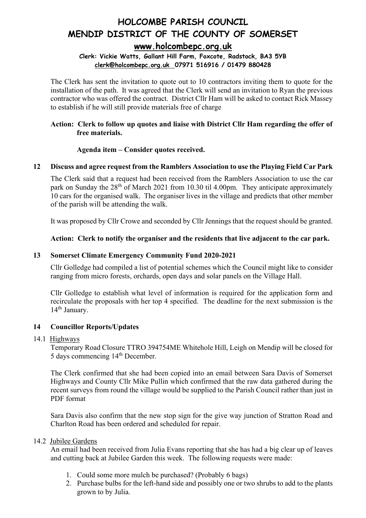# **[www.holcombepc.org.uk](http://www.holcombepc.org.uk/)**

# **Clerk: Vickie Watts, Gallant Hill Farm, Foxcote, Radstock, BA3 5YB [clerk@holcombepc.org.uk](mailto:victoriawatts@orange.net) 07971 516916 / 01479 880428**

The Clerk has sent the invitation to quote out to 10 contractors inviting them to quote for the installation of the path. It was agreed that the Clerk will send an invitation to Ryan the previous contractor who was offered the contract. District Cllr Ham will be asked to contact Rick Massey to establish if he will still provide materials free of charge

# **Action: Clerk to follow up quotes and liaise with District Cllr Ham regarding the offer of free materials.**

# **Agenda item – Consider quotes received.**

# **12 Discuss and agree request from the Ramblers Association to use the Playing Field Car Park**

The Clerk said that a request had been received from the Ramblers Association to use the car park on Sunday the 28<sup>th</sup> of March 2021 from 10.30 til 4.00pm. They anticipate approximately 10 cars for the organised walk. The organiser lives in the village and predicts that other member of the parish will be attending the walk.

It was proposed by Cllr Crowe and seconded by Cllr Jennings that the request should be granted.

# **Action: Clerk to notify the organiser and the residents that live adjacent to the car park.**

# **13 Somerset Climate Emergency Community Fund 2020-2021**

Cllr Golledge had compiled a list of potential schemes which the Council might like to consider ranging from micro forests, orchards, open days and solar panels on the Village Hall.

Cllr Golledge to establish what level of information is required for the application form and recirculate the proposals with her top 4 specified. The deadline for the next submission is the 14<sup>th</sup> January.

# **14 Councillor Reports/Updates**

# 14.1 Highways

Temporary Road Closure TTRO 394754ME Whitehole Hill, Leigh on Mendip will be closed for 5 days commencing 14<sup>th</sup> December.

The Clerk confirmed that she had been copied into an email between Sara Davis of Somerset Highways and County Cllr Mike Pullin which confirmed that the raw data gathered during the recent surveys from round the village would be supplied to the Parish Council rather than just in PDF format

Sara Davis also confirm that the new stop sign for the give way junction of Stratton Road and Charlton Road has been ordered and scheduled for repair.

# 14.2 Jubilee Gardens

An email had been received from Julia Evans reporting that she has had a big clear up of leaves and cutting back at Jubilee Garden this week. The following requests were made:

- 1. Could some more mulch be purchased? (Probably 6 bags)
- 2. Purchase bulbs for the left-hand side and possibly one or two shrubs to add to the plants grown to by Julia.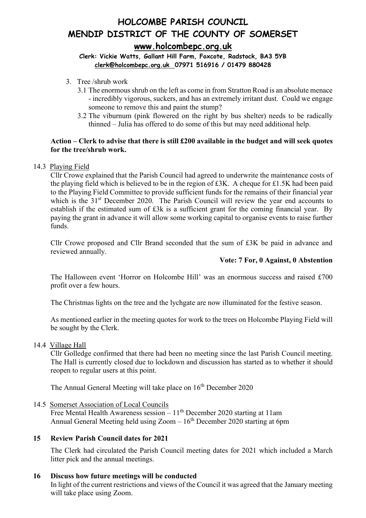# **HOLCOMBE PARISH COUNCIL MENDIP DISTRICT OF THE COUNTY OF SOMERSET [www.holcombepc.org.uk](http://www.holcombepc.org.uk/)**

# **Clerk: Vickie Watts, Gallant Hill Farm, Foxcote, Radstock, BA3 5YB [clerk@holcombepc.org.uk](mailto:victoriawatts@orange.net) 07971 516916 / 01479 880428**

- 3. Tree /shrub work
	- 3.1 The enormous shrub on the left as come in from Stratton Road is an absolute menace - incredibly vigorous, suckers, and has an extremely irritant dust. Could we engage someone to remove this and paint the stump?
	- 3.2 The viburnum (pink flowered on the right by bus shelter) needs to be radically thinned – Julia has offered to do some of this but may need additional help.

# **Action – Clerk to advise that there is still £200 available in the budget and will seek quotes for the tree/shrub work.**

#### 14.3 Playing Field

Cllr Crowe explained that the Parish Council had agreed to underwrite the maintenance costs of the playing field which is believed to be in the region of £3K. A cheque for £1.5K had been paid to the Playing Field Committee to provide sufficient funds for the remains of their financial year which is the 31<sup>st</sup> December 2020. The Parish Council will review the year end accounts to establish if the estimated sum of £3k is a sufficient grant for the coming financial year. By paying the grant in advance it will allow some working capital to organise events to raise further funds.

Cllr Crowe proposed and Cllr Brand seconded that the sum of £3K be paid in advance and reviewed annually.

#### **Vote: 7 For, 0 Against, 0 Abstention**

The Halloween event 'Horror on Holcombe Hill' was an enormous success and raised £700 profit over a few hours.

The Christmas lights on the tree and the lychgate are now illuminated for the festive season.

As mentioned earlier in the meeting quotes for work to the trees on Holcombe Playing Field will be sought by the Clerk.

14.4 Village Hall

Cllr Golledge confirmed that there had been no meeting since the last Parish Council meeting. The Hall is currently closed due to lockdown and discussion has started as to whether it should reopen to regular users at this point.

The Annual General Meeting will take place on  $16<sup>th</sup>$  December 2020

14.5 Somerset Association of Local Councils

Free Mental Health Awareness session –  $11<sup>th</sup>$  December 2020 starting at 11am Annual General Meeting held using  $Zoom - 16<sup>th</sup>$  December 2020 starting at 6pm

# **15 Review Parish Council dates for 2021**

The Clerk had circulated the Parish Council meeting dates for 2021 which included a March litter pick and the annual meetings.

#### **16 Discuss how future meetings will be conducted**

In light of the current restrictions and views of the Council it was agreed that the January meeting will take place using Zoom.